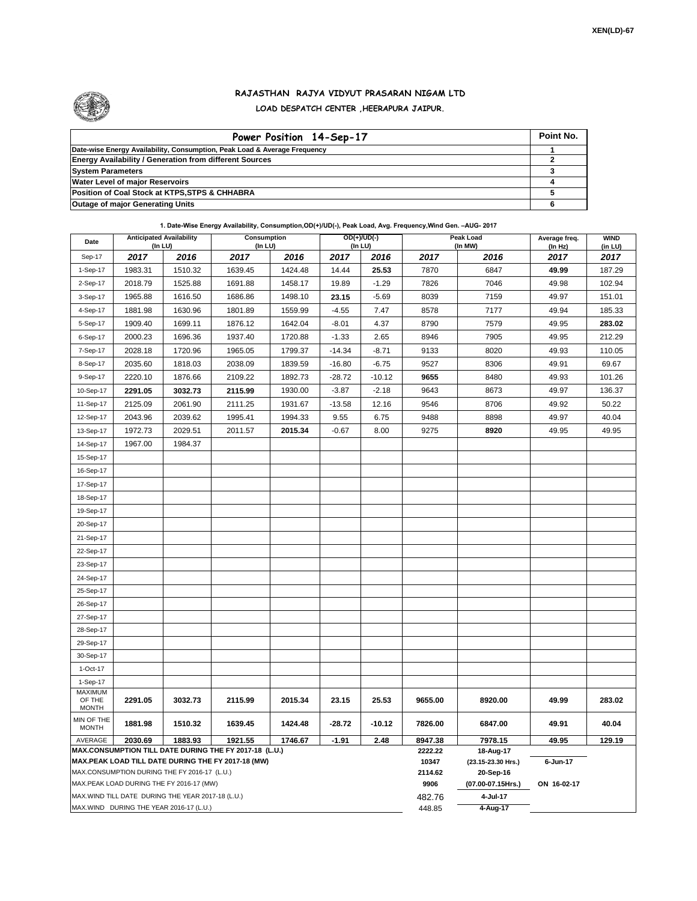

## **RAJASTHAN RAJYA VIDYUT PRASARAN NIGAM LTD LOAD DESPATCH CENTER ,HEERAPURA JAIPUR.**

| Power Position 14-Sep-17                                                  | Point No. |
|---------------------------------------------------------------------------|-----------|
| Date-wise Energy Availability, Consumption, Peak Load & Average Frequency |           |
| <b>Energy Availability / Generation from different Sources</b>            |           |
| <b>System Parameters</b>                                                  |           |
| <b>Water Level of major Reservoirs</b>                                    |           |
| Position of Coal Stock at KTPS, STPS & CHHABRA                            |           |
| <b>Outage of major Generating Units</b>                                   |           |

## **1. Date-Wise Energy Availability, Consumption,OD(+)/UD(-), Peak Load, Avg. Frequency,Wind Gen. –AUG- 2017**

| Date                                                                                                         | <b>Anticipated Availability</b><br>(In LU) |         | Consumption<br>(In LU) |         | $OD(+)/UD(-)$<br>(In LU) |          |                  | Peak Load<br>(In MW)            | Average freq.<br>(In Hz) | <b>WIND</b><br>(in LU) |  |  |
|--------------------------------------------------------------------------------------------------------------|--------------------------------------------|---------|------------------------|---------|--------------------------|----------|------------------|---------------------------------|--------------------------|------------------------|--|--|
| Sep-17                                                                                                       | 2017                                       | 2016    | 2017                   | 2016    | 2017                     | 2016     | 2017             | 2016                            | 2017                     | 2017                   |  |  |
| 1-Sep-17                                                                                                     | 1983.31                                    | 1510.32 | 1639.45                | 1424.48 | 14.44                    | 25.53    | 7870             | 6847                            | 49.99                    | 187.29                 |  |  |
| 2-Sep-17                                                                                                     | 2018.79                                    | 1525.88 | 1691.88                | 1458.17 | 19.89                    | $-1.29$  | 7826             | 7046                            | 49.98                    | 102.94                 |  |  |
| 3-Sep-17                                                                                                     | 1965.88                                    | 1616.50 | 1686.86                | 1498.10 | 23.15                    | $-5.69$  | 8039             | 7159                            | 49.97                    | 151.01                 |  |  |
| 4-Sep-17                                                                                                     | 1881.98                                    | 1630.96 | 1801.89                | 1559.99 | $-4.55$                  | 7.47     | 8578             | 7177                            | 49.94                    | 185.33                 |  |  |
| 5-Sep-17                                                                                                     | 1909.40                                    | 1699.11 | 1876.12                | 1642.04 | $-8.01$                  | 4.37     | 8790             | 7579                            | 49.95                    | 283.02                 |  |  |
| 6-Sep-17                                                                                                     | 2000.23                                    | 1696.36 | 1937.40                | 1720.88 | $-1.33$                  | 2.65     | 8946             | 7905                            | 49.95                    | 212.29                 |  |  |
| 7-Sep-17                                                                                                     | 2028.18                                    | 1720.96 | 1965.05                | 1799.37 | $-14.34$                 | $-8.71$  | 9133             | 8020                            | 49.93                    | 110.05                 |  |  |
| 8-Sep-17                                                                                                     | 2035.60                                    | 1818.03 | 2038.09                | 1839.59 | $-16.80$                 | $-6.75$  | 9527             | 8306                            | 49.91                    | 69.67                  |  |  |
| 9-Sep-17                                                                                                     | 2220.10                                    | 1876.66 | 2109.22                | 1892.73 | $-28.72$                 | $-10.12$ | 9655             | 8480                            | 49.93                    | 101.26                 |  |  |
| 10-Sep-17                                                                                                    | 2291.05                                    | 3032.73 | 2115.99                | 1930.00 | $-3.87$                  | $-2.18$  | 9643             | 8673                            | 49.97                    | 136.37                 |  |  |
| 11-Sep-17                                                                                                    | 2125.09                                    | 2061.90 | 2111.25                | 1931.67 | $-13.58$                 | 12.16    | 9546             | 8706                            | 49.92                    | 50.22                  |  |  |
| 12-Sep-17                                                                                                    | 2043.96                                    | 2039.62 | 1995.41                | 1994.33 | 9.55                     | 6.75     | 9488             | 8898                            | 49.97                    | 40.04                  |  |  |
| 13-Sep-17                                                                                                    | 1972.73                                    | 2029.51 | 2011.57                | 2015.34 | $-0.67$                  | 8.00     | 9275             | 8920                            | 49.95                    | 49.95                  |  |  |
| 14-Sep-17                                                                                                    | 1967.00                                    | 1984.37 |                        |         |                          |          |                  |                                 |                          |                        |  |  |
| 15-Sep-17                                                                                                    |                                            |         |                        |         |                          |          |                  |                                 |                          |                        |  |  |
| 16-Sep-17                                                                                                    |                                            |         |                        |         |                          |          |                  |                                 |                          |                        |  |  |
| 17-Sep-17                                                                                                    |                                            |         |                        |         |                          |          |                  |                                 |                          |                        |  |  |
| 18-Sep-17                                                                                                    |                                            |         |                        |         |                          |          |                  |                                 |                          |                        |  |  |
| 19-Sep-17                                                                                                    |                                            |         |                        |         |                          |          |                  |                                 |                          |                        |  |  |
| 20-Sep-17                                                                                                    |                                            |         |                        |         |                          |          |                  |                                 |                          |                        |  |  |
| 21-Sep-17                                                                                                    |                                            |         |                        |         |                          |          |                  |                                 |                          |                        |  |  |
| 22-Sep-17                                                                                                    |                                            |         |                        |         |                          |          |                  |                                 |                          |                        |  |  |
| 23-Sep-17                                                                                                    |                                            |         |                        |         |                          |          |                  |                                 |                          |                        |  |  |
| 24-Sep-17                                                                                                    |                                            |         |                        |         |                          |          |                  |                                 |                          |                        |  |  |
| 25-Sep-17                                                                                                    |                                            |         |                        |         |                          |          |                  |                                 |                          |                        |  |  |
| 26-Sep-17                                                                                                    |                                            |         |                        |         |                          |          |                  |                                 |                          |                        |  |  |
| 27-Sep-17                                                                                                    |                                            |         |                        |         |                          |          |                  |                                 |                          |                        |  |  |
| 28-Sep-17                                                                                                    |                                            |         |                        |         |                          |          |                  |                                 |                          |                        |  |  |
| 29-Sep-17                                                                                                    |                                            |         |                        |         |                          |          |                  |                                 |                          |                        |  |  |
| 30-Sep-17                                                                                                    |                                            |         |                        |         |                          |          |                  |                                 |                          |                        |  |  |
| 1-Oct-17                                                                                                     |                                            |         |                        |         |                          |          |                  |                                 |                          |                        |  |  |
| 1-Sep-17<br><b>MAXIMUM</b>                                                                                   |                                            |         |                        |         |                          |          |                  |                                 |                          |                        |  |  |
| OF THE                                                                                                       | 2291.05                                    | 3032.73 | 2115.99                | 2015.34 | 23.15                    | 25.53    | 9655.00          | 8920.00                         | 49.99                    | 283.02                 |  |  |
| <b>MONTH</b><br>MIN OF THE                                                                                   |                                            |         |                        |         |                          |          |                  |                                 |                          |                        |  |  |
| <b>MONTH</b>                                                                                                 | 1881.98                                    | 1510.32 | 1639.45                | 1424.48 | -28.72                   | $-10.12$ | 7826.00          | 6847.00                         | 49.91                    | 40.04                  |  |  |
| AVERAGE                                                                                                      | 2030.69                                    | 1883.93 | 1921.55                | 1746.67 | $-1.91$                  | 2.48     | 8947.38          | 7978.15                         | 49.95                    | 129.19                 |  |  |
| MAX.CONSUMPTION TILL DATE DURING THE FY 2017-18 (L.U.)<br>MAX.PEAK LOAD TILL DATE DURING THE FY 2017-18 (MW) |                                            |         |                        |         |                          |          | 2222.22<br>10347 | 18-Aug-17<br>(23.15-23.30 Hrs.) | 6-Jun-17                 |                        |  |  |
| MAX.CONSUMPTION DURING THE FY 2016-17 (L.U.)                                                                 |                                            |         |                        |         |                          |          | 2114.62          | 20-Sep-16                       |                          |                        |  |  |
| MAX.PEAK LOAD DURING THE FY 2016-17 (MW)                                                                     |                                            |         |                        |         |                          |          | 9906             | (07.00-07.15Hrs.)               | ON 16-02-17              |                        |  |  |
| MAX. WIND TILL DATE DURING THE YEAR 2017-18 (L.U.)                                                           |                                            |         |                        |         |                          |          | 482.76           | 4-Jul-17                        |                          |                        |  |  |
|                                                                                                              | MAX.WIND DURING THE YEAR 2016-17 (L.U.)    |         |                        | 448.85  | 4-Aug-17                 |          |                  |                                 |                          |                        |  |  |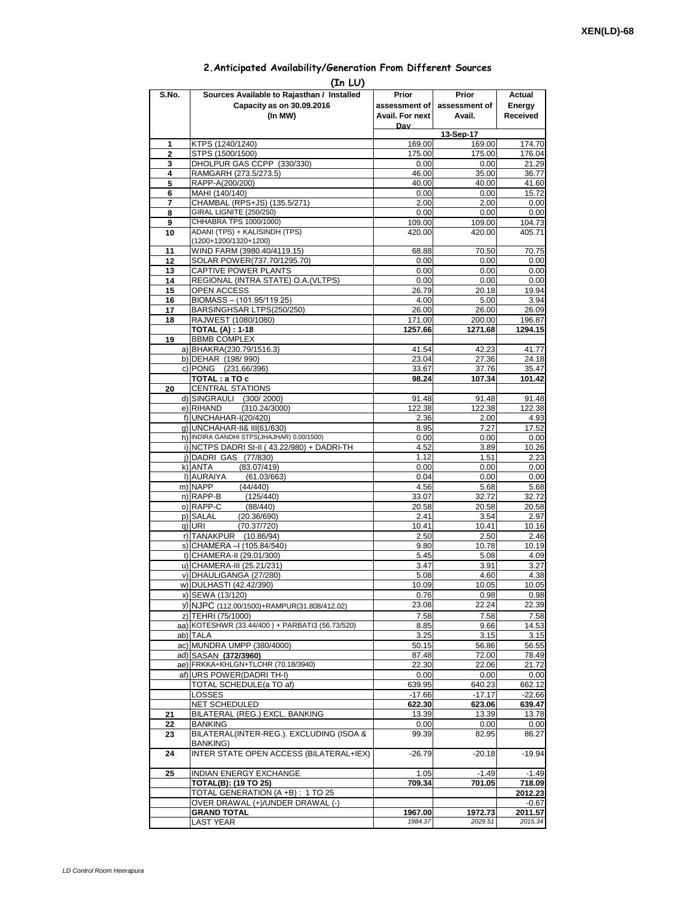## **2.Anticipated Availability/Generation From Different Sources**

| (In LU)        |                                                                  |                 |                     |                   |  |  |  |  |  |  |
|----------------|------------------------------------------------------------------|-----------------|---------------------|-------------------|--|--|--|--|--|--|
| S.No.          | Sources Available to Rajasthan / Installed                       | Prior           | Prior               | Actual            |  |  |  |  |  |  |
|                | Capacity as on 30.09.2016                                        | assessment of I | assessment of       | Energy            |  |  |  |  |  |  |
|                | (In MW)                                                          | Avail. For next | Avail.              | Received          |  |  |  |  |  |  |
|                |                                                                  | Dav             |                     |                   |  |  |  |  |  |  |
| 1              | KTPS (1240/1240)                                                 | 169.00          | 13-Sep-17<br>169.00 | 174.70            |  |  |  |  |  |  |
| $\overline{2}$ | STPS (1500/1500)                                                 | 175.00          | 175.00              | 176.04            |  |  |  |  |  |  |
| 3              | DHOLPUR GAS CCPP (330/330)                                       | 0.00            | 0.00                | 21.29             |  |  |  |  |  |  |
| 4              | RAMGARH (273.5/273.5)                                            | 46.00           | 35.00               | 36.77             |  |  |  |  |  |  |
| 5              | RAPP-A(200/200)                                                  | 40.00           | 40.00               | 41.60             |  |  |  |  |  |  |
| 6              | MAHI (140/140)                                                   | 0.00            | 0.00                | 15.72             |  |  |  |  |  |  |
| 7<br>8         | CHAMBAL (RPS+JS) (135.5/271)<br>GIRAL LIGNITE (250/250)          | 2.00<br>0.00    | 2.00<br>0.00        | 0.00<br>0.00      |  |  |  |  |  |  |
| 9              | CHHABRA TPS 1000/1000)                                           | 109.00          | 109.00              | 104.73            |  |  |  |  |  |  |
| 10             | ADANI (TPS) + KALISINDH (TPS)                                    | 420.00          | 420.00              | 405.71            |  |  |  |  |  |  |
|                | (1200+1200/1320+1200)                                            |                 |                     |                   |  |  |  |  |  |  |
| 11             | WIND FARM (3980.40/4119.15)                                      | 68.88           | 70.50               | 70.75             |  |  |  |  |  |  |
| 12             | SOLAR POWER(737.70/1295.70)                                      | 0.00            | 0.00                | 0.00              |  |  |  |  |  |  |
| 13<br>14       | CAPTIVE POWER PLANTS<br>REGIONAL (INTRA STATE) O.A. (VLTPS)      | 0.00<br>0.00    | 0.00<br>0.00        | 0.00<br>0.00      |  |  |  |  |  |  |
| 15             | <b>OPEN ACCESS</b>                                               | 26.79           | 20.18               | 19.94             |  |  |  |  |  |  |
| 16             | BIOMASS - (101.95/119.25)                                        | 4.00            | 5.00                | 3.94              |  |  |  |  |  |  |
| 17             | BARSINGHSAR LTPS(250/250)                                        | 26.00           | 26.00               | 26.09             |  |  |  |  |  |  |
| 18             | RAJWEST (1080/1080)                                              | 171.00          | 200.00              | 196.87            |  |  |  |  |  |  |
|                | <b>TOTAL (A): 1-18</b>                                           | 1257.66         | 1271.68             | 1294.15           |  |  |  |  |  |  |
| 19             | <b>BBMB COMPLEX</b>                                              |                 |                     |                   |  |  |  |  |  |  |
|                | a) BHAKRA(230.79/1516.3)<br>b) DEHAR (198/990)                   | 41.54<br>23.04  | 42.23<br>27.36      | 41.77<br>24.18    |  |  |  |  |  |  |
|                | c) PONG (231.66/396)                                             | 33.67           | 37.76               | 35.47             |  |  |  |  |  |  |
|                | TOTAL: a TO c                                                    | 98.24           | 107.34              | 101.42            |  |  |  |  |  |  |
| 20             | <b>CENTRAL STATIONS</b>                                          |                 |                     |                   |  |  |  |  |  |  |
|                | d) SINGRAULI (300/2000)                                          | 91.48           | 91.48               | 91.48             |  |  |  |  |  |  |
|                | e) RIHAND<br>(310.24/3000)                                       | 122.38          | 122.38              | 122.38            |  |  |  |  |  |  |
|                | f) UNCHAHAR-I(20/420)<br>g) UNCHAHAR-II& III(61/630)             | 2.36            | 2.00<br>7.27        | 4.93              |  |  |  |  |  |  |
|                | h) INDIRA GANDHI STPS(JHAJHAR) 0.00/1500)                        | 8.95<br>0.00    | 0.00                | 17.52<br>0.00     |  |  |  |  |  |  |
|                | i) NCTPS DADRI St-II (43.22/980) + DADRI-TH                      | 4.52            | 3.89                | 10.26             |  |  |  |  |  |  |
|                | j) DADRI GAS (77/830)                                            | 1.12            | 1.51                | 2.23              |  |  |  |  |  |  |
|                | (83.07/419)<br>k) ANTA                                           | 0.00            | 0.00                | 0.00              |  |  |  |  |  |  |
|                | I) AURAIYA<br>(61.03/663)                                        | 0.04            | 0.00                | 0.00              |  |  |  |  |  |  |
|                | m) NAPP<br>(44/440)<br>n) RAPP-B<br>(125/440)                    | 4.56<br>33.07   | 5.68<br>32.72       | 5.68<br>32.72     |  |  |  |  |  |  |
|                | o) RAPP-C<br>(88/440)                                            | 20.58           | 20.58               | 20.58             |  |  |  |  |  |  |
|                | p) SALAL<br>(20.36/690)                                          | 2.41            | 3.54                | 2.97              |  |  |  |  |  |  |
|                | q) URI<br>(70.37/720)                                            | 10.41           | 10.41               | 10.16             |  |  |  |  |  |  |
|                | r) TANAKPUR<br>(10.86/94)                                        | 2.50            | 2.50                | 2.46              |  |  |  |  |  |  |
|                | s) CHAMERA - (105.84/540)                                        | 9.80            | 10.78               | 10.19             |  |  |  |  |  |  |
|                | t) CHAMERA-II (29.01/300)                                        | 5.45            | 5.08                | 4.09<br>3.27      |  |  |  |  |  |  |
|                | u) CHAMERA-III (25.21/231)<br>v) DHAULIGANGA (27/280)            | 3.47<br>5.08    | 3.91<br>4.60        | 4.38              |  |  |  |  |  |  |
|                | w) DULHASTI (42.42/390)                                          | 10.09           | 10.05               | 10.05             |  |  |  |  |  |  |
|                | x) SEWA (13/120)                                                 | 0.76            | 0.98                | 0.98              |  |  |  |  |  |  |
|                | y) NJPC (112.00/1500)+RAMPUR(31.808/412.02)                      | 23.08           | 22.24               | 22.39             |  |  |  |  |  |  |
|                | z) TEHRI (75/1000)                                               | 7.58            | 7.58                | 7.58              |  |  |  |  |  |  |
|                | aa) KOTESHWR (33.44/400) + PARBATI3 (56.73/520)                  | 8.85            | 9.66                | 14.53             |  |  |  |  |  |  |
|                | ab) TALA<br>ac) MUNDRA UMPP (380/4000)                           | 3.25            | 3.15                | 3.15              |  |  |  |  |  |  |
|                | ad) SASAN (372/3960)                                             | 50.15<br>87.48  | 56.86<br>72.00      | 56.55<br>78.49    |  |  |  |  |  |  |
|                | ae) FRKKA+KHLGN+TLCHR (70.18/3940)                               | 22.30           | 22.06               | 21.72             |  |  |  |  |  |  |
|                | af) URS POWER(DADRITH-I)                                         | 0.00            | 0.00                | 0.00              |  |  |  |  |  |  |
|                | TOTAL SCHEDULE(a TO af)                                          | 639.95          | 640.23              | 662.12            |  |  |  |  |  |  |
|                | LOSSES                                                           | $-17.66$        | $-17.17$            | $-22.66$          |  |  |  |  |  |  |
|                | NET SCHEDULED                                                    | 622.30          | 623.06              | 639.47            |  |  |  |  |  |  |
| 21<br>22       | BILATERAL (REG.) EXCL. BANKING<br>BANKING                        | 13.39<br>0.00   | 13.39<br>0.00       | 13.78<br>0.00     |  |  |  |  |  |  |
| 23             | BILATERAL(INTER-REG.). EXCLUDING (ISOA &                         | 99.39           | 82.95               | 86.27             |  |  |  |  |  |  |
|                | BANKING)                                                         |                 |                     |                   |  |  |  |  |  |  |
| 24             | INTER STATE OPEN ACCESS (BILATERAL+IEX)                          | $-26.79$        | $-20.18$            | $-19.94$          |  |  |  |  |  |  |
|                |                                                                  |                 |                     |                   |  |  |  |  |  |  |
| 25             | <b>INDIAN ENERGY EXCHANGE</b>                                    | 1.05            | $-1.49$             | $-1.49$           |  |  |  |  |  |  |
|                | <b>TOTAL(B): (19 TO 25)</b><br>TOTAL GENERATION (A +B) : 1 TO 25 | 709.34          | 701.05              | 718.09<br>2012.23 |  |  |  |  |  |  |
|                | OVER DRAWAL (+)/UNDER DRAWAL (-)                                 |                 |                     | $-0.67$           |  |  |  |  |  |  |
|                | <b>GRAND TOTAL</b>                                               | 1967.00         | 1972.73             | 2011.57           |  |  |  |  |  |  |
|                | <b>LAST YEAR</b>                                                 | 1984.37         | 2029.51             | 2015.34           |  |  |  |  |  |  |